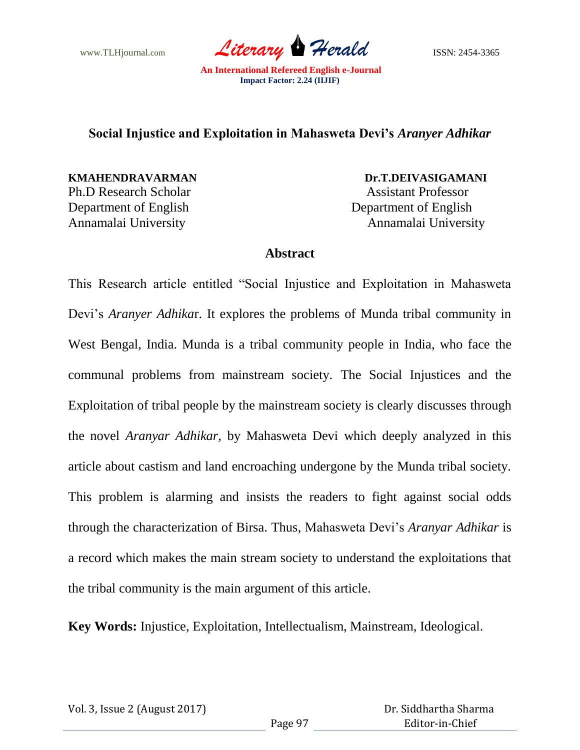www.TLHjournal.com *Literary* **Herald ISSN:** 2454-3365

## **Social Injustice and Exploitation in Mahasweta Devi's** *Aranyer Adhikar*

Ph.D Research Scholar Assistant Professor Department of English Department of English

**KMAHENDRAVARMAN Dr.T.DEIVASIGAMANI** Annamalai University Annamalai University

## **Abstract**

This Research article entitled "Social Injustice and Exploitation in Mahasweta Devi"s *Aranyer Adhika*r. It explores the problems of Munda tribal community in West Bengal, India. Munda is a tribal community people in India, who face the communal problems from mainstream society. The Social Injustices and the Exploitation of tribal people by the mainstream society is clearly discusses through the novel *Aranyar Adhikar,* by Mahasweta Devi which deeply analyzed in this article about castism and land encroaching undergone by the Munda tribal society. This problem is alarming and insists the readers to fight against social odds through the characterization of Birsa. Thus, Mahasweta Devi"s *Aranyar Adhikar* is a record which makes the main stream society to understand the exploitations that the tribal community is the main argument of this article.

**Key Words:** Injustice, Exploitation, Intellectualism, Mainstream, Ideological.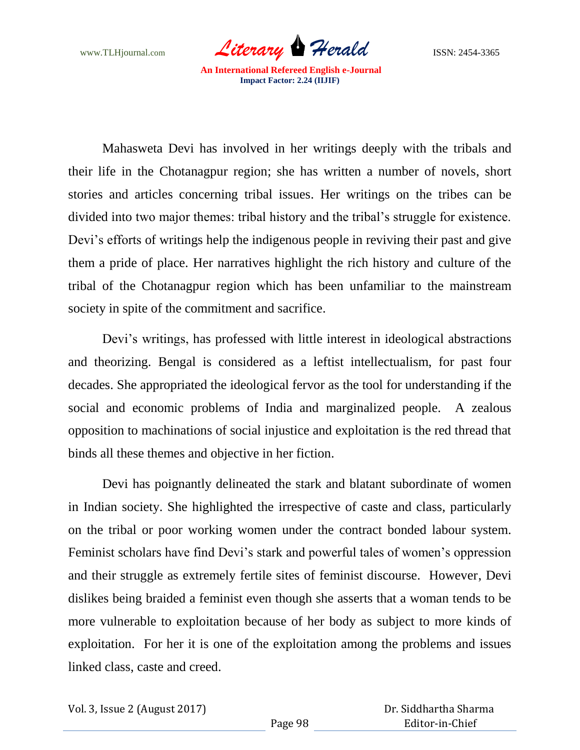www.TLHjournal.com **Literary Herald ISSN: 2454-3365** 

Mahasweta Devi has involved in her writings deeply with the tribals and their life in the Chotanagpur region; she has written a number of novels, short stories and articles concerning tribal issues. Her writings on the tribes can be divided into two major themes: tribal history and the tribal"s struggle for existence. Devi's efforts of writings help the indigenous people in reviving their past and give them a pride of place. Her narratives highlight the rich history and culture of the tribal of the Chotanagpur region which has been unfamiliar to the mainstream society in spite of the commitment and sacrifice.

Devi's writings, has professed with little interest in ideological abstractions and theorizing. Bengal is considered as a leftist intellectualism, for past four decades. She appropriated the ideological fervor as the tool for understanding if the social and economic problems of India and marginalized people. A zealous opposition to machinations of social injustice and exploitation is the red thread that binds all these themes and objective in her fiction.

Devi has poignantly delineated the stark and blatant subordinate of women in Indian society. She highlighted the irrespective of caste and class, particularly on the tribal or poor working women under the contract bonded labour system. Feminist scholars have find Devi's stark and powerful tales of women's oppression and their struggle as extremely fertile sites of feminist discourse. However, Devi dislikes being braided a feminist even though she asserts that a woman tends to be more vulnerable to exploitation because of her body as subject to more kinds of exploitation. For her it is one of the exploitation among the problems and issues linked class, caste and creed.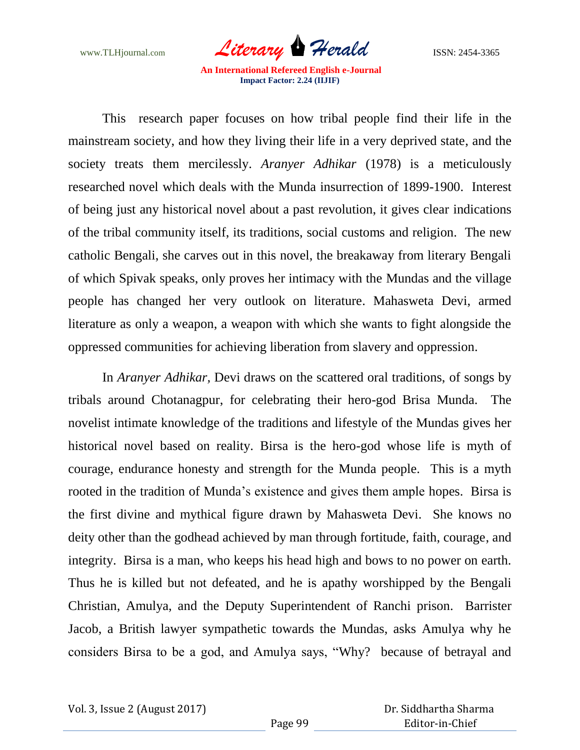www.TLHjournal.com **Literary Herald ISSN: 2454-3365** 

This research paper focuses on how tribal people find their life in the mainstream society, and how they living their life in a very deprived state, and the society treats them mercilessly. *Aranyer Adhikar* (1978) is a meticulously researched novel which deals with the Munda insurrection of 1899-1900. Interest of being just any historical novel about a past revolution, it gives clear indications of the tribal community itself, its traditions, social customs and religion. The new catholic Bengali, she carves out in this novel, the breakaway from literary Bengali of which Spivak speaks, only proves her intimacy with the Mundas and the village people has changed her very outlook on literature. Mahasweta Devi, armed literature as only a weapon, a weapon with which she wants to fight alongside the oppressed communities for achieving liberation from slavery and oppression.

In *Aranyer Adhikar,* Devi draws on the scattered oral traditions, of songs by tribals around Chotanagpur, for celebrating their hero-god Brisa Munda. The novelist intimate knowledge of the traditions and lifestyle of the Mundas gives her historical novel based on reality. Birsa is the hero-god whose life is myth of courage, endurance honesty and strength for the Munda people. This is a myth rooted in the tradition of Munda"s existence and gives them ample hopes. Birsa is the first divine and mythical figure drawn by Mahasweta Devi. She knows no deity other than the godhead achieved by man through fortitude, faith, courage, and integrity. Birsa is a man, who keeps his head high and bows to no power on earth. Thus he is killed but not defeated, and he is apathy worshipped by the Bengali Christian, Amulya, and the Deputy Superintendent of Ranchi prison. Barrister Jacob, a British lawyer sympathetic towards the Mundas, asks Amulya why he considers Birsa to be a god, and Amulya says, "Why? because of betrayal and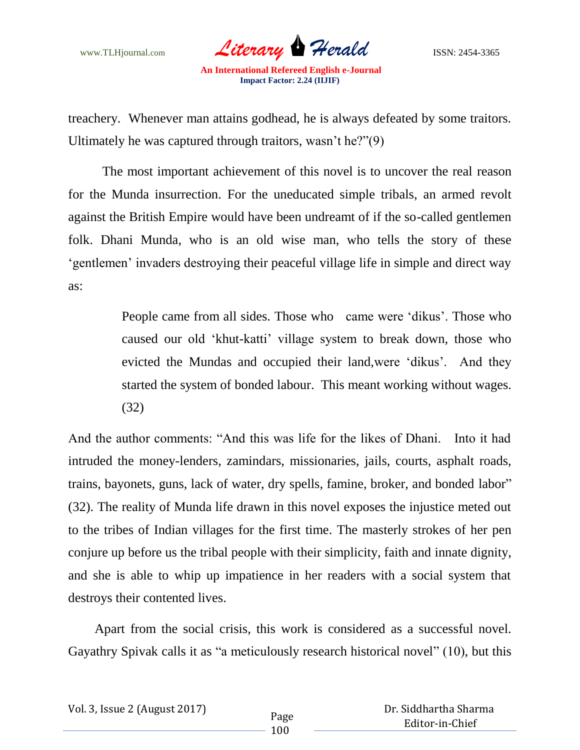www.TLHjournal.com *Literary* **Herald ISSN:** 2454-3365

treachery. Whenever man attains godhead, he is always defeated by some traitors. Ultimately he was captured through traitors, wasn"t he?"(9)

 The most important achievement of this novel is to uncover the real reason for the Munda insurrection. For the uneducated simple tribals, an armed revolt against the British Empire would have been undreamt of if the so-called gentlemen folk. Dhani Munda, who is an old wise man, who tells the story of these " gentlemen" invaders destroying their peaceful village life in simple and direct way as:

> People came from all sides. Those who came were 'dikus'. Those who caused our old "khut-katti" village system to break down, those who evicted the Mundas and occupied their land,were "dikus". And they started the system of bonded labour. This meant working without wages. (32)

And the author comments: "And this was life for the likes of Dhani. Into it had intruded the money-lenders, zamindars, missionaries, jails, courts, asphalt roads, trains, bayonets, guns, lack of water, dry spells, famine, broker, and bonded labor" (32). The reality of Munda life drawn in this novel exposes the injustice meted out to the tribes of Indian villages for the first time. The masterly strokes of her pen conjure up before us the tribal people with their simplicity, faith and innate dignity, and she is able to whip up impatience in her readers with a social system that destroys their contented lives.

 Apart from the social crisis, this work is considered as a successful novel. Gayathry Spivak calls it as "a meticulously research historical novel" (10), but this

Vol. 3, Issue 2 (August 2017) Page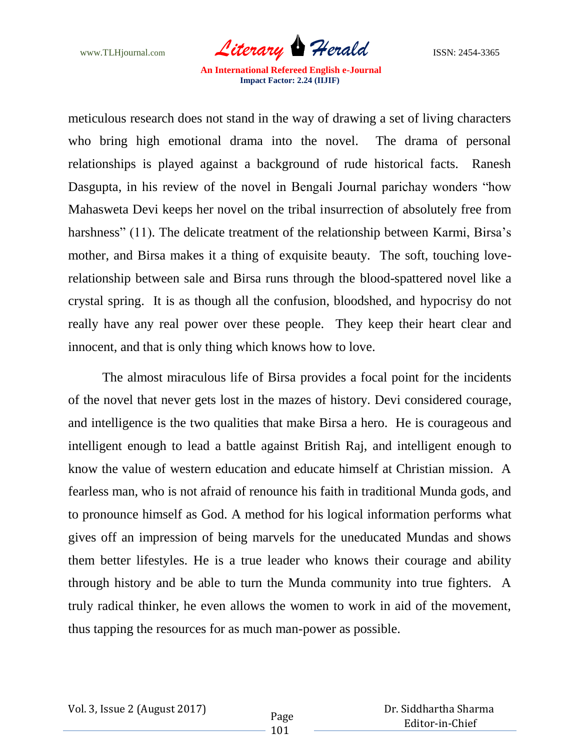www.TLHjournal.com **Literary Herald ISSN: 2454-3365** 

meticulous research does not stand in the way of drawing a set of living characters who bring high emotional drama into the novel. The drama of personal relationships is played against a background of rude historical facts. Ranesh Dasgupta, in his review of the novel in Bengali Journal parichay wonders "how Mahasweta Devi keeps her novel on the tribal insurrection of absolutely free from harshness" (11). The delicate treatment of the relationship between Karmi, Birsa's mother, and Birsa makes it a thing of exquisite beauty. The soft, touching loverelationship between sale and Birsa runs through the blood-spattered novel like a crystal spring. It is as though all the confusion, bloodshed, and hypocrisy do not really have any real power over these people. They keep their heart clear and innocent, and that is only thing which knows how to love.

The almost miraculous life of Birsa provides a focal point for the incidents of the novel that never gets lost in the mazes of history. Devi considered courage, and intelligence is the two qualities that make Birsa a hero. He is courageous and intelligent enough to lead a battle against British Raj, and intelligent enough to know the value of western education and educate himself at Christian mission. A fearless man, who is not afraid of renounce his faith in traditional Munda gods, and to pronounce himself as God. A method for his logical information performs what gives off an impression of being marvels for the uneducated Mundas and shows them better lifestyles. He is a true leader who knows their courage and ability through history and be able to turn the Munda community into true fighters. A truly radical thinker, he even allows the women to work in aid of the movement, thus tapping the resources for as much man-power as possible.

 Dr. Siddhartha Sharma Editor-in-Chief

101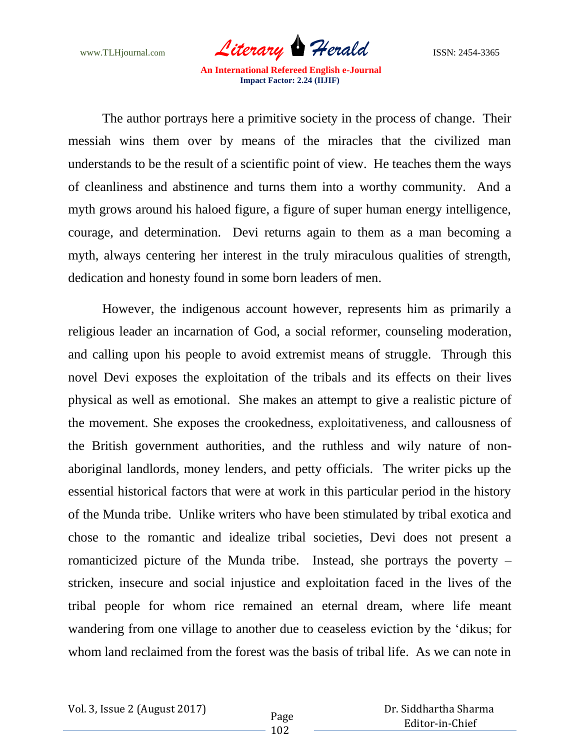www.TLHjournal.com **Literary Herald ISSN: 2454-3365** 

The author portrays here a primitive society in the process of change. Their messiah wins them over by means of the miracles that the civilized man understands to be the result of a scientific point of view. He teaches them the ways of cleanliness and abstinence and turns them into a worthy community. And a myth grows around his haloed figure, a figure of super human energy intelligence, courage, and determination. Devi returns again to them as a man becoming a myth, always centering her interest in the truly miraculous qualities of strength, dedication and honesty found in some born leaders of men.

However, the indigenous account however, represents him as primarily a religious leader an incarnation of God, a social reformer, counseling moderation, and calling upon his people to avoid extremist means of struggle. Through this novel Devi exposes the exploitation of the tribals and its effects on their lives physical as well as emotional. She makes an attempt to give a realistic picture of the movement. She exposes the crookedness, exploitativeness, and callousness of the British government authorities, and the ruthless and wily nature of nonaboriginal landlords, money lenders, and petty officials. The writer picks up the essential historical factors that were at work in this particular period in the history of the Munda tribe. Unlike writers who have been stimulated by tribal exotica and chose to the romantic and idealize tribal societies, Devi does not present a romanticized picture of the Munda tribe. Instead, she portrays the poverty – stricken, insecure and social injustice and exploitation faced in the lives of the tribal people for whom rice remained an eternal dream, where life meant wandering from one village to another due to ceaseless eviction by the "dikus; for whom land reclaimed from the forest was the basis of tribal life. As we can note in

 Dr. Siddhartha Sharma Editor-in-Chief

102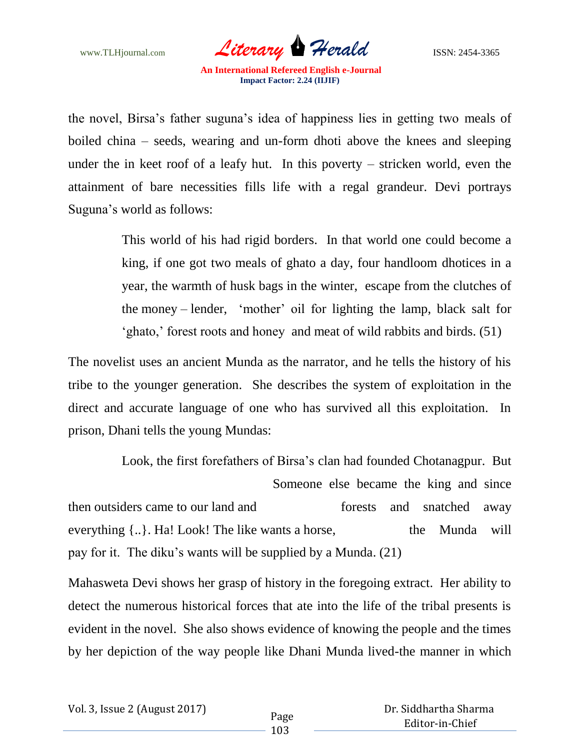www.TLHjournal.com *Literary* **Herald ISSN:** 2454-3365

the novel, Birsa"s father suguna"s idea of happiness lies in getting two meals of boiled china – seeds, wearing and un-form dhoti above the knees and sleeping under the in keet roof of a leafy hut. In this poverty – stricken world, even the attainment of bare necessities fills life with a regal grandeur. Devi portrays Suguna"s world as follows:

> This world of his had rigid borders. In that world one could become a king, if one got two meals of ghato a day, four handloom dhotices in a year, the warmth of husk bags in the winter, escape from the clutches of the money – lender, "mother" oil for lighting the lamp, black salt for "ghato," forest roots and honey and meat of wild rabbits and birds. (51)

The novelist uses an ancient Munda as the narrator, and he tells the history of his tribe to the younger generation. She describes the system of exploitation in the direct and accurate language of one who has survived all this exploitation. In prison, Dhani tells the young Mundas:

Look, the first forefathers of Birsa's clan had founded Chotanagpur. But Someone else became the king and since then outsiders came to our land and forests and snatched away everything  $\{\ldots\}$ . Ha! Look! The like wants a horse, the Munda will pay for it. The diku"s wants will be supplied by a Munda. (21)

Mahasweta Devi shows her grasp of history in the foregoing extract. Her ability to detect the numerous historical forces that ate into the life of the tribal presents is evident in the novel. She also shows evidence of knowing the people and the times by her depiction of the way people like Dhani Munda lived-the manner in which